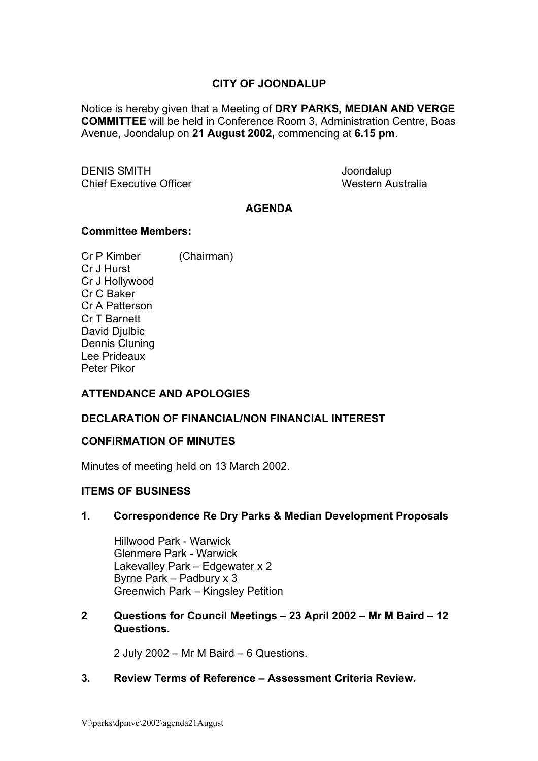# **CITY OF JOONDALUP**

Notice is hereby given that a Meeting of **DRY PARKS, MEDIAN AND VERGE COMMITTEE** will be held in Conference Room 3, Administration Centre, Boas Avenue, Joondalup on **21 August 2002,** commencing at **6.15 pm**.

DENIS SMITH Joondalup Chief Executive Officer **Western Australia** 

### **AGENDA**

#### **Committee Members:**

Cr P Kimber (Chairman) Cr J Hurst Cr J Hollywood Cr C Baker Cr A Patterson Cr T Barnett David Djulbic Dennis Cluning Lee Prideaux Peter Pikor

# **ATTENDANCE AND APOLOGIES**

#### **DECLARATION OF FINANCIAL/NON FINANCIAL INTEREST**

### **CONFIRMATION OF MINUTES**

Minutes of meeting held on 13 March 2002.

#### **ITEMS OF BUSINESS**

#### **1. Correspondence Re Dry Parks & Median Development Proposals**

 Hillwood Park - Warwick Glenmere Park - Warwick Lakevalley Park – Edgewater x 2 Byrne Park – Padbury x 3 Greenwich Park – Kingsley Petition

### **2 Questions for Council Meetings – 23 April 2002 – Mr M Baird – 12 Questions.**

2 July 2002 – Mr M Baird – 6 Questions.

## **3. Review Terms of Reference – Assessment Criteria Review.**